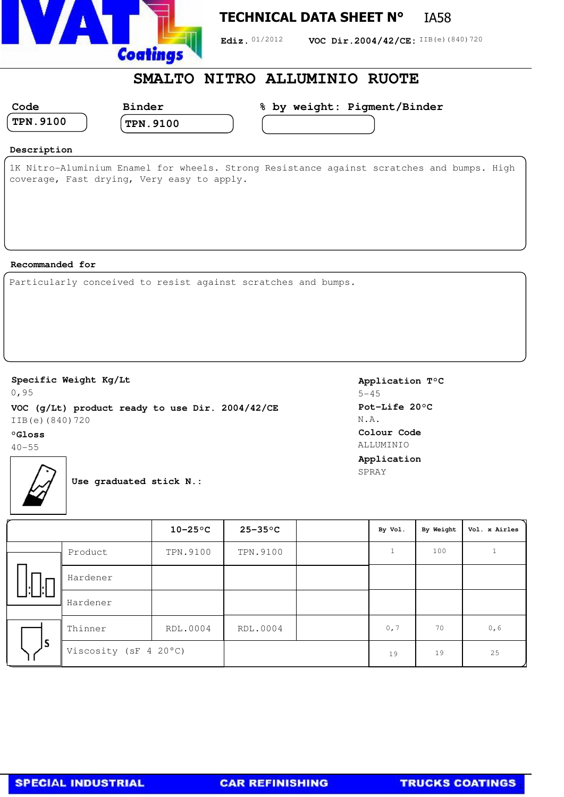

## **TECHNICAL DATA SHEET N°** IA58

Ediz. 01/2012 **VOC Dir.2004/42/CE:** IIB(e)(840)720

## **SMALTO NITRO ALLUMINIO RUOTE**

| Code                       | <b>Binder</b>   | % by weight: Pigment/Binder |
|----------------------------|-----------------|-----------------------------|
| $^\mathrm{+}$ TPN $.$ 9100 | <b>TPN.9100</b> |                             |
|                            |                 |                             |

### **Description**

1K Nitro-Aluminium Enamel for wheels. Strong Resistance against scratches and bumps. High coverage, Fast drying, Very easy to apply.

#### **Recommanded for**

Particularly conceived to resist against scratches and bumps.

#### **Specific Weight Kg/Lt**

0,95 **VOC (g/Lt) product ready to use Dir. 2004/42/CE** IIB(e)(840)720

#### **°Gloss**

 $40 - 55$ 

**Application T°C**  $5 - 45$ **Pot-Life 20°C** N.A. **Colour Code** ALLUMINIO **Application** SPRAY

**Use graduated stick N.:**

|    |                       | $10-25$ °C | $25 - 35$ °C    | By Vol. | By Weight | Vol. x Airles |
|----|-----------------------|------------|-----------------|---------|-----------|---------------|
|    | Product               | TPN.9100   | <b>TPN.9100</b> |         | 100       |               |
|    | Hardener              |            |                 |         |           |               |
|    | Hardener              |            |                 |         |           |               |
| ls | Thinner               | RDL.0004   | RDL.0004        | 0, 7    | 70        | 0,6           |
|    | Viscosity (sF 4 20°C) |            |                 | 19      | 19        | 25            |